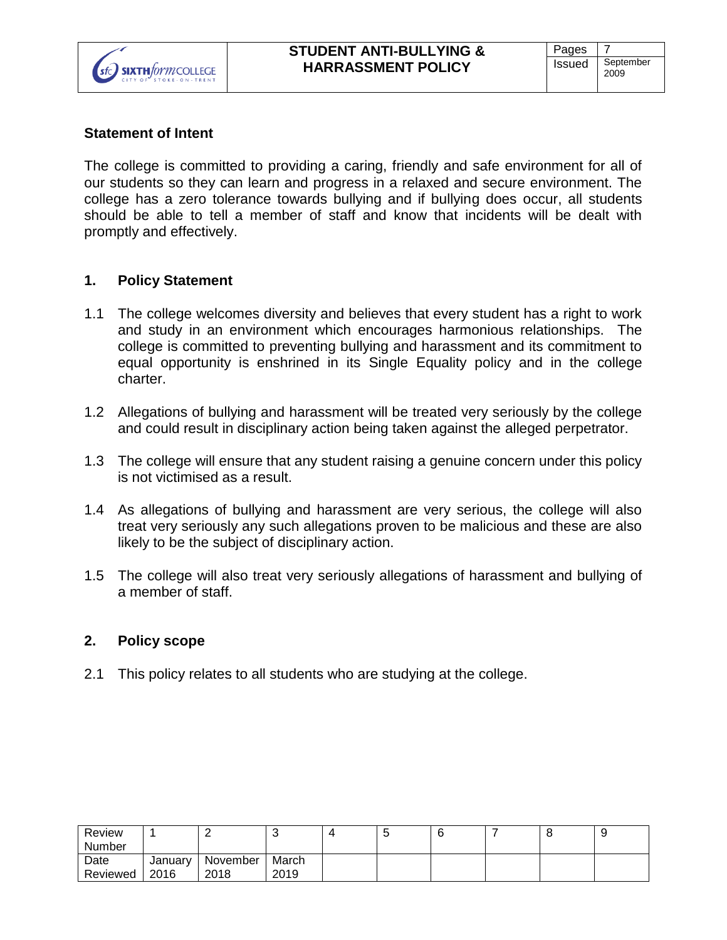### **Statement of Intent**

The college is committed to providing a caring, friendly and safe environment for all of our students so they can learn and progress in a relaxed and secure environment. The college has a zero tolerance towards bullying and if bullying does occur, all students should be able to tell a member of staff and know that incidents will be dealt with promptly and effectively.

#### **1. Policy Statement**

- 1.1 The college welcomes diversity and believes that every student has a right to work and study in an environment which encourages harmonious relationships. The college is committed to preventing bullying and harassment and its commitment to equal opportunity is enshrined in its Single Equality policy and in the college charter.
- 1.2 Allegations of bullying and harassment will be treated very seriously by the college and could result in disciplinary action being taken against the alleged perpetrator.
- 1.3 The college will ensure that any student raising a genuine concern under this policy is not victimised as a result.
- 1.4 As allegations of bullying and harassment are very serious, the college will also treat very seriously any such allegations proven to be malicious and these are also likely to be the subject of disciplinary action.
- 1.5 The college will also treat very seriously allegations of harassment and bullying of a member of staff.

#### **2. Policy scope**

2.1 This policy relates to all students who are studying at the college.

| Review        |         |          | v     | N |  | О | ◡ |
|---------------|---------|----------|-------|---|--|---|---|
| <b>Number</b> |         |          |       |   |  |   |   |
| Date          | January | November | March |   |  |   |   |
| Reviewed      | 2016    | 2018     | 2019  |   |  |   |   |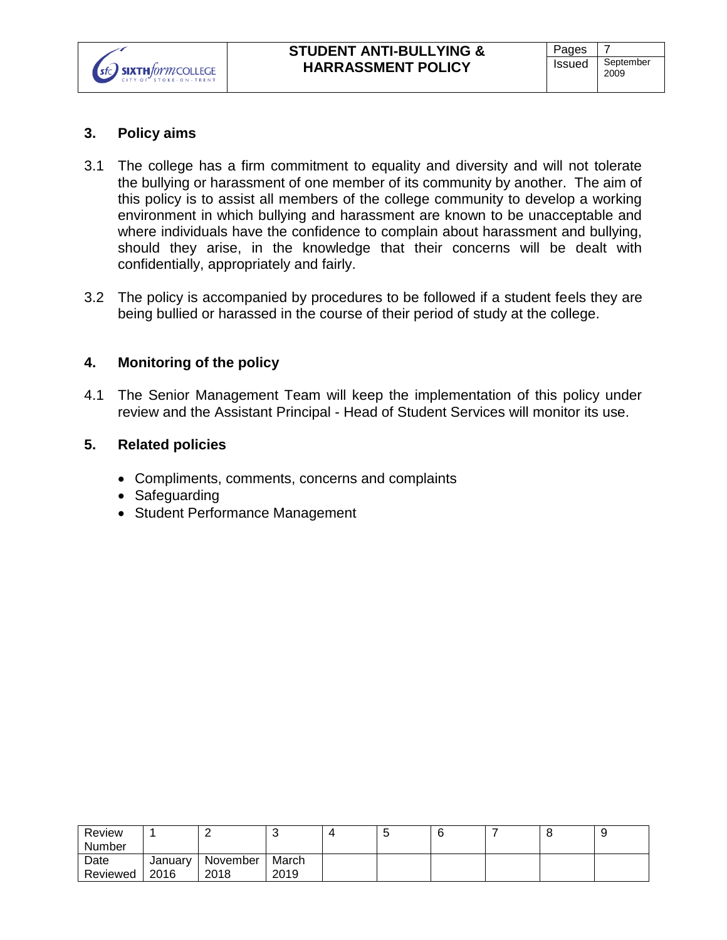

### **3. Policy aims**

- 3.1 The college has a firm commitment to equality and diversity and will not tolerate the bullying or harassment of one member of its community by another. The aim of this policy is to assist all members of the college community to develop a working environment in which bullying and harassment are known to be unacceptable and where individuals have the confidence to complain about harassment and bullying, should they arise, in the knowledge that their concerns will be dealt with confidentially, appropriately and fairly.
- 3.2 The policy is accompanied by procedures to be followed if a student feels they are being bullied or harassed in the course of their period of study at the college.

### **4. Monitoring of the policy**

4.1 The Senior Management Team will keep the implementation of this policy under review and the Assistant Principal - Head of Student Services will monitor its use.

### **5. Related policies**

- Compliments, comments, concerns and complaints
- Safeguarding
- Student Performance Management

| Review        |         |          | <b>U</b> | N |  | ◡ |  |
|---------------|---------|----------|----------|---|--|---|--|
| <b>Number</b> |         |          |          |   |  |   |  |
| Date          | January | November | March    |   |  |   |  |
| Reviewed      | 2016    | 2018     | 2019     |   |  |   |  |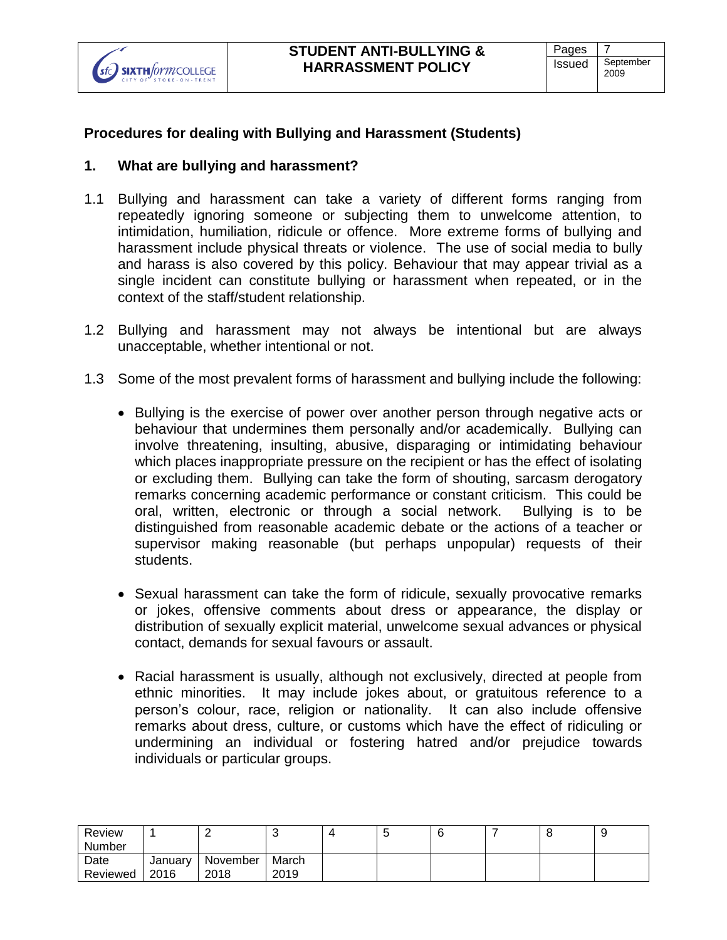

# **Procedures for dealing with Bullying and Harassment (Students)**

## **1. What are bullying and harassment?**

- 1.1 Bullying and harassment can take a variety of different forms ranging from repeatedly ignoring someone or subjecting them to unwelcome attention, to intimidation, humiliation, ridicule or offence. More extreme forms of bullying and harassment include physical threats or violence. The use of social media to bully and harass is also covered by this policy. Behaviour that may appear trivial as a single incident can constitute bullying or harassment when repeated, or in the context of the staff/student relationship.
- 1.2 Bullying and harassment may not always be intentional but are always unacceptable, whether intentional or not.
- 1.3 Some of the most prevalent forms of harassment and bullying include the following:
	- Bullying is the exercise of power over another person through negative acts or behaviour that undermines them personally and/or academically. Bullying can involve threatening, insulting, abusive, disparaging or intimidating behaviour which places inappropriate pressure on the recipient or has the effect of isolating or excluding them. Bullying can take the form of shouting, sarcasm derogatory remarks concerning academic performance or constant criticism. This could be oral, written, electronic or through a social network. Bullying is to be distinguished from reasonable academic debate or the actions of a teacher or supervisor making reasonable (but perhaps unpopular) requests of their students.
	- Sexual harassment can take the form of ridicule, sexually provocative remarks or jokes, offensive comments about dress or appearance, the display or distribution of sexually explicit material, unwelcome sexual advances or physical contact, demands for sexual favours or assault.
	- Racial harassment is usually, although not exclusively, directed at people from ethnic minorities. It may include jokes about, or gratuitous reference to a person's colour, race, religion or nationality. It can also include offensive remarks about dress, culture, or customs which have the effect of ridiculing or undermining an individual or fostering hatred and/or prejudice towards individuals or particular groups.

| Review   |         |          | w     | ັ |  | ◡<br>. |
|----------|---------|----------|-------|---|--|--------|
| Number   |         |          |       |   |  |        |
| Date     | January | November | March |   |  |        |
| Reviewed | 2016    | 2018     | 2019  |   |  |        |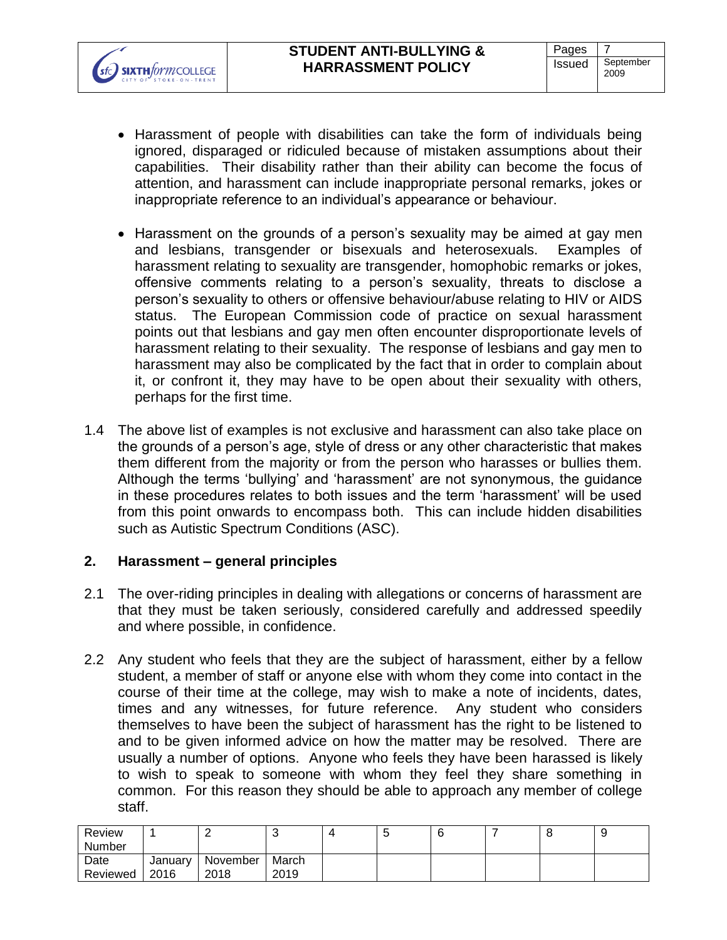- Harassment of people with disabilities can take the form of individuals being ignored, disparaged or ridiculed because of mistaken assumptions about their capabilities. Their disability rather than their ability can become the focus of attention, and harassment can include inappropriate personal remarks, jokes or inappropriate reference to an individual's appearance or behaviour.
- Harassment on the grounds of a person's sexuality may be aimed at gay men and lesbians, transgender or bisexuals and heterosexuals. Examples of harassment relating to sexuality are transgender, homophobic remarks or jokes, offensive comments relating to a person's sexuality, threats to disclose a person's sexuality to others or offensive behaviour/abuse relating to HIV or AIDS status. The European Commission code of practice on sexual harassment points out that lesbians and gay men often encounter disproportionate levels of harassment relating to their sexuality. The response of lesbians and gay men to harassment may also be complicated by the fact that in order to complain about it, or confront it, they may have to be open about their sexuality with others, perhaps for the first time.
- 1.4 The above list of examples is not exclusive and harassment can also take place on the grounds of a person's age, style of dress or any other characteristic that makes them different from the majority or from the person who harasses or bullies them. Although the terms 'bullying' and 'harassment' are not synonymous, the guidance in these procedures relates to both issues and the term 'harassment' will be used from this point onwards to encompass both. This can include hidden disabilities such as Autistic Spectrum Conditions (ASC).

# **2. Harassment – general principles**

**SIXTH** for m COLLEGE

- 2.1 The over-riding principles in dealing with allegations or concerns of harassment are that they must be taken seriously, considered carefully and addressed speedily and where possible, in confidence.
- 2.2 Any student who feels that they are the subject of harassment, either by a fellow student, a member of staff or anyone else with whom they come into contact in the course of their time at the college, may wish to make a note of incidents, dates, times and any witnesses, for future reference. Any student who considers themselves to have been the subject of harassment has the right to be listened to and to be given informed advice on how the matter may be resolved. There are usually a number of options. Anyone who feels they have been harassed is likely to wish to speak to someone with whom they feel they share something in common. For this reason they should be able to approach any member of college staff.

| Review   |         |          |       | u |  |  |
|----------|---------|----------|-------|---|--|--|
| Number   |         |          |       |   |  |  |
| Date     | January | November | March |   |  |  |
| Reviewed | 2016    | 2018     | 2019  |   |  |  |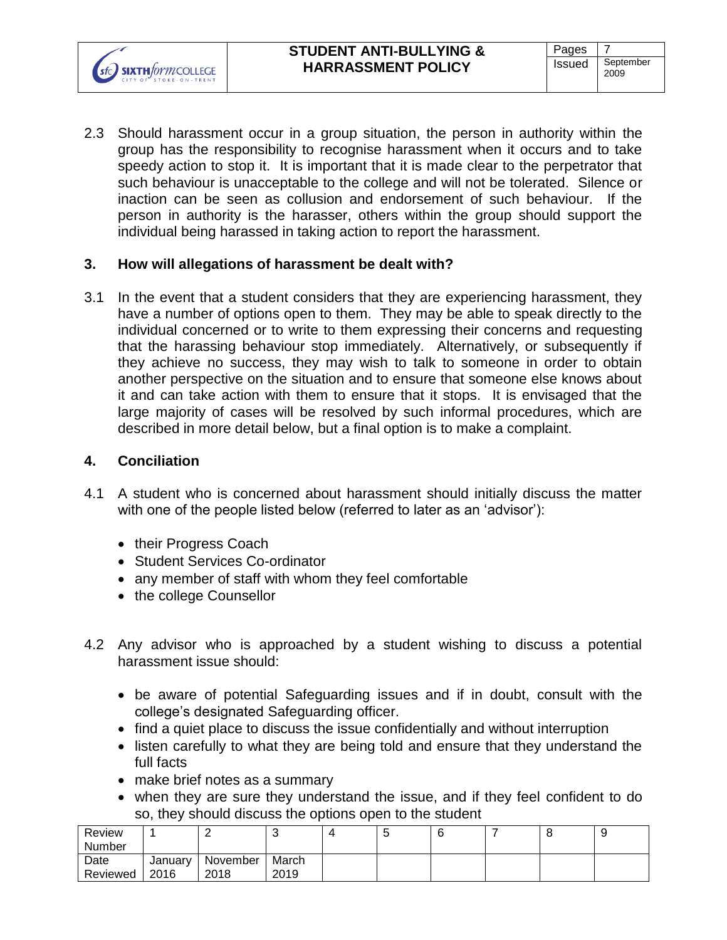2.3 Should harassment occur in a group situation, the person in authority within the group has the responsibility to recognise harassment when it occurs and to take speedy action to stop it. It is important that it is made clear to the perpetrator that such behaviour is unacceptable to the college and will not be tolerated. Silence or inaction can be seen as collusion and endorsement of such behaviour. If the person in authority is the harasser, others within the group should support the individual being harassed in taking action to report the harassment.

### **3. How will allegations of harassment be dealt with?**

3.1 In the event that a student considers that they are experiencing harassment, they have a number of options open to them. They may be able to speak directly to the individual concerned or to write to them expressing their concerns and requesting that the harassing behaviour stop immediately. Alternatively, or subsequently if they achieve no success, they may wish to talk to someone in order to obtain another perspective on the situation and to ensure that someone else knows about it and can take action with them to ensure that it stops. It is envisaged that the large majority of cases will be resolved by such informal procedures, which are described in more detail below, but a final option is to make a complaint.

#### **4. Conciliation**

**SIXTH** for m COLLEGE

- 4.1 A student who is concerned about harassment should initially discuss the matter with one of the people listed below (referred to later as an 'advisor'):
	- their Progress Coach
	- Student Services Co-ordinator
	- any member of staff with whom they feel comfortable
	- the college Counsellor
- 4.2 Any advisor who is approached by a student wishing to discuss a potential harassment issue should:
	- be aware of potential Safeguarding issues and if in doubt, consult with the college's designated Safeguarding officer.
	- find a quiet place to discuss the issue confidentially and without interruption
	- listen carefully to what they are being told and ensure that they understand the full facts
	- make brief notes as a summary
	- when they are sure they understand the issue, and if they feel confident to do so, they should discuss the options open to the student

| Review        |         |          | v     | N |  | О | ◡ |
|---------------|---------|----------|-------|---|--|---|---|
| <b>Number</b> |         |          |       |   |  |   |   |
| Date          | January | November | March |   |  |   |   |
| Reviewed      | 2016    | 2018     | 2019  |   |  |   |   |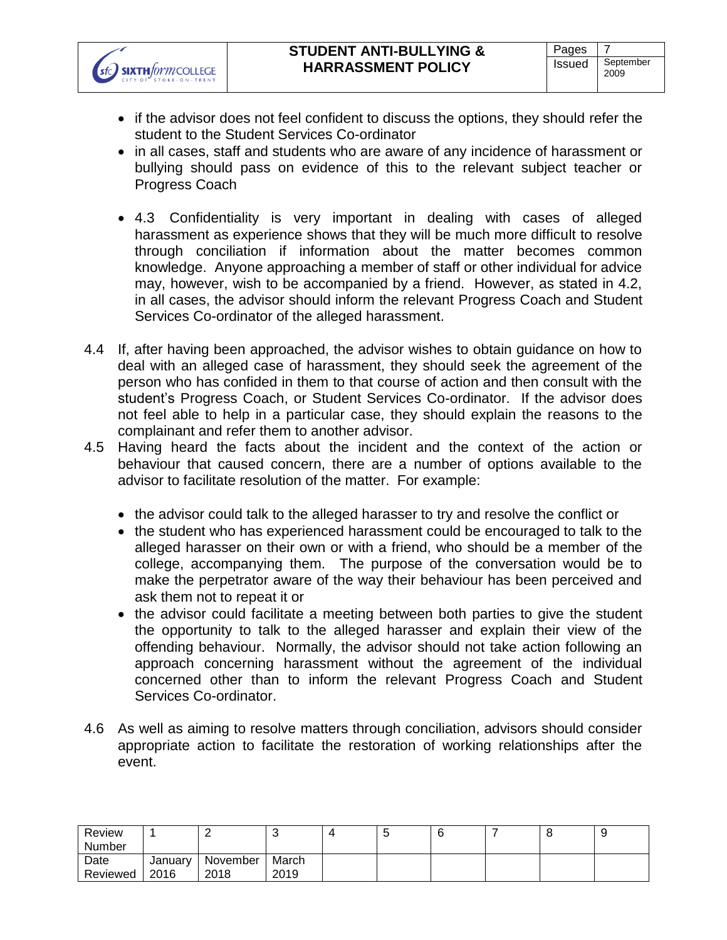**SIXTH**formCOLLEGE



- in all cases, staff and students who are aware of any incidence of harassment or bullying should pass on evidence of this to the relevant subject teacher or Progress Coach
- 4.3 Confidentiality is very important in dealing with cases of alleged harassment as experience shows that they will be much more difficult to resolve through conciliation if information about the matter becomes common knowledge. Anyone approaching a member of staff or other individual for advice may, however, wish to be accompanied by a friend. However, as stated in 4.2, in all cases, the advisor should inform the relevant Progress Coach and Student Services Co-ordinator of the alleged harassment.
- 4.4 If, after having been approached, the advisor wishes to obtain guidance on how to deal with an alleged case of harassment, they should seek the agreement of the person who has confided in them to that course of action and then consult with the student's Progress Coach, or Student Services Co-ordinator. If the advisor does not feel able to help in a particular case, they should explain the reasons to the complainant and refer them to another advisor.
- 4.5 Having heard the facts about the incident and the context of the action or behaviour that caused concern, there are a number of options available to the advisor to facilitate resolution of the matter. For example:
	- the advisor could talk to the alleged harasser to try and resolve the conflict or
	- the student who has experienced harassment could be encouraged to talk to the alleged harasser on their own or with a friend, who should be a member of the college, accompanying them. The purpose of the conversation would be to make the perpetrator aware of the way their behaviour has been perceived and ask them not to repeat it or
	- the advisor could facilitate a meeting between both parties to give the student the opportunity to talk to the alleged harasser and explain their view of the offending behaviour. Normally, the advisor should not take action following an approach concerning harassment without the agreement of the individual concerned other than to inform the relevant Progress Coach and Student Services Co-ordinator.
- 4.6 As well as aiming to resolve matters through conciliation, advisors should consider appropriate action to facilitate the restoration of working relationships after the event.

| Review   |         |          |       | u |  |  |
|----------|---------|----------|-------|---|--|--|
| Number   |         |          |       |   |  |  |
| Date     | January | November | March |   |  |  |
| Reviewed | 2016    | 2018     | 2019  |   |  |  |